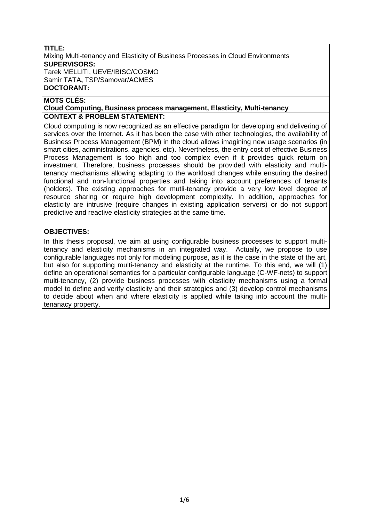## **TITLE:**

Mixing Multi-tenancy and Elasticity of Business Processes in Cloud Environments **SUPERVISORS:** Tarek MELLITI, UEVE/IBISC/COSMO Samir TATA**,** TSP/Samovar/ACMES

## **DOCTORANT:**

#### **MOTS CLÉS:**

#### **Cloud Computing, Business process management, Elasticity, Multi-tenancy CONTEXT & PROBLEM STATEMENT:**

Cloud computing is now recognized as an effective paradigm for developing and delivering of services over the Internet. As it has been the case with other technologies, the availability of Business Process Management (BPM) in the cloud allows imagining new usage scenarios (in smart cities, administrations, agencies, etc). Nevertheless, the entry cost of effective Business Process Management is too high and too complex even if it provides quick return on investment. Therefore, business processes should be provided with elasticity and multitenancy mechanisms allowing adapting to the workload changes while ensuring the desired functional and non-functional properties and taking into account preferences of tenants (holders). The existing approaches for mutli-tenancy provide a very low level degree of resource sharing or require high development complexity. In addition, approaches for elasticity are intrusive (require changes in existing application servers) or do not support predictive and reactive elasticity strategies at the same time.

#### **OBJECTIVES:**

In this thesis proposal, we aim at using configurable business processes to support multitenancy and elasticity mechanisms in an integrated way. Actually, we propose to use configurable languages not only for modeling purpose, as it is the case in the state of the art, but also for supporting multi-tenancy and elasticity at the runtime. To this end, we will (1) define an operational semantics for a particular configurable language (C-WF-nets) to support multi-tenancy, (2) provide business processes with elasticity mechanisms using a formal model to define and verify elasticity and their strategies and (3) develop control mechanisms to decide about when and where elasticity is applied while taking into account the multitenanacy property.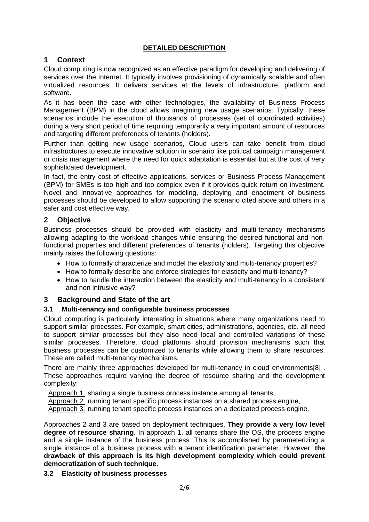## **DETAILED DESCRIPTION**

## **1 Context**

Cloud computing is now recognized as an effective paradigm for developing and delivering of services over the Internet. It typically involves provisioning of dynamically scalable and often virtualized resources. It delivers services at the levels of infrastructure, platform and software.

As it has been the case with other technologies, the availability of Business Process Management (BPM) in the cloud allows imagining new usage scenarios. Typically, these scenarios include the execution of thousands of processes (set of coordinated activities) during a very short period of time requiring temporarily a very important amount of resources and targeting different preferences of tenants (holders).

Further than getting new usage scenarios, Cloud users can take benefit from cloud infrastructures to execute innovative solution in scenario like political campaign management or crisis management where the need for quick adaptation is essential but at the cost of very sophisticated development.

In fact, the entry cost of effective applications, services or Business Process Management (BPM) for SMEs is too high and too complex even if it provides quick return on investment. Novel and innovative approaches for modeling, deploying and enactment of business processes should be developed to allow supporting the scenario cited above and others in a safer and cost effective way.

# **2 Objective**

Business processes should be provided with elasticity and multi-tenancy mechanisms allowing adapting to the workload changes while ensuring the desired functional and nonfunctional properties and different preferences of tenants (holders). Targeting this objective mainly raises the following questions:

- How to formally characterize and model the elasticity and multi-tenancy properties?
- How to formally describe and enforce strategies for elasticity and multi-tenancy?
- How to handle the interaction between the elasticity and multi-tenancy in a consistent and non intrusive way?

## **3 Background and State of the art**

## **3.1 Multi-tenancy and configurable business processes**

Cloud computing is particularly interesting in situations where many organizations need to support similar processes. For example, smart cities, administrations, agencies, etc. all need to support similar processes but they also need local and controlled variations of these similar processes. Therefore, cloud platforms should provision mechanisms such that business processes can be customized to tenants while allowing them to share resources. These are called multi-tenancy mechanisms.

There are mainly three approaches developed for multi-tenancy in cloud environment[s\[8\]](#page-4-0) . These approaches require varying the degree of resource sharing and the development complexity:

Approach 1. sharing a single business process instance among all tenants,

Approach 2. running tenant specific process instances on a shared process engine,

Approach 3. running tenant specific process instances on a dedicated process engine.

Approaches 2 and 3 are based on deployment techniques. **They provide a very low level degree of resource sharing**. In approach 1, all tenants share the OS, the process engine and a single instance of the business process. This is accomplished by parameterizing a single instance of a business process with a tenant identification parameter. However, **the drawback of this approach is its high development complexity which could prevent democratization of such technique.** 

#### **3.2 Elasticity of business processes**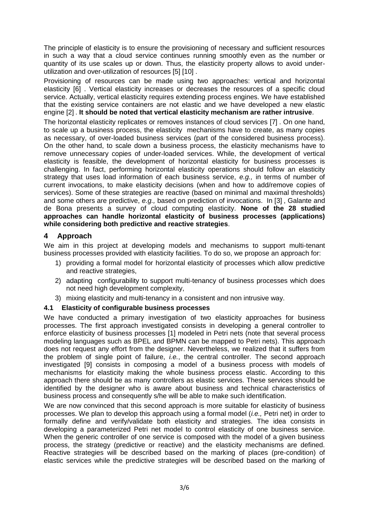The principle of elasticity is to ensure the provisioning of necessary and sufficient resources in such a way that a cloud service continues running smoothly even as the number or quantity of its use scales up or down. Thus, the elasticity property allows to avoid underutilization and over-utilization of resources [\[5\] \[10\] .](#page-4-1)

Provisioning of resources can be made using two approaches: vertical and horizontal elasticity [\[6\] .](#page-4-2) Vertical elasticity increases or decreases the resources of a specific cloud service. Actually, vertical elasticity requires extending process engines. We have established that the existing service containers are not elastic and we have developed a new elastic engine [\[2\]](#page-4-3) . **It should be noted that vertical elasticity mechanism are rather intrusive**.

The horizontal elasticity replicates or removes instances of cloud services [\[7\]](#page-4-4) . On one hand, to scale up a business process, the elasticity mechanisms have to create, as many copies as necessary, of over-loaded business services (part of the considered business process). On the other hand, to scale down a business process, the elasticity mechanisms have to remove unnecessary copies of under-loaded services. While, the development of vertical elasticity is feasible, the development of horizontal elasticity for business processes is challenging. In fact, performing horizontal elasticity operations should follow an elasticity strategy that uses load information of each business service, *e.g.,* in terms of number of current invocations, to make elasticity decisions (when and how to add/remove copies of services). Some of these strategies are reactive (based on minimal and maximal thresholds) and some others are predictive, *e.g.,* based on prediction of invocations. In [\[3\]](#page-4-5) , Galante and de Bona presents a survey of cloud computing elasticity. **None of the 28 studied approaches can handle horizontal elasticity of business processes (applications) while considering both predictive and reactive strategies**.

# **4 Approach**

We aim in this project at developing models and mechanisms to support multi-tenant business processes provided with elasticity facilities. To do so, we propose an approach for:

- 1) providing a formal model for horizontal elasticity of processes which allow predictive and reactive strategies,
- 2) adapting configurability to support multi-tenancy of business processes which does not need high development complexity,
- 3) mixing elasticity and multi-tenancy in a consistent and non intrusive way.

## **4.1 Elasticity of configurable business processes**

We have conducted a primary investigation of two elasticity approaches for business processes. The first approach investigated consists in developing a general controller to enforce elasticity of business processes [\[1\] m](#page-4-6)odeled in Petri nets (note that several process modeling languages such as BPEL and BPMN can be mapped to Petri nets). This approach does not request any effort from the designer. Nevertheless, we realized that it suffers from the problem of single point of failure, *i.e.*, the central controller. The second approach investigated [\[9\] c](#page-4-7)onsists in composing a model of a business process with models of mechanisms for elasticity making the whole business process elastic. According to this approach there should be as many controllers as elastic services. These services should be identified by the designer who is aware about business and technical characteristics of business process and consequently s/he will be able to make such identification.

We are now convinced that this second approach is more suitable for elasticity of business processes. We plan to develop this approach using a formal model (*i.e.,* Petri net) in order to formally define and verify/validate both elasticity and strategies. The idea consists in developing a parameterized Petri net model to control elasticity of one business service. When the generic controller of one service is composed with the model of a given business process, the strategy (predictive or reactive) and the elasticity mechanisms are defined. Reactive strategies will be described based on the marking of places (pre-condition) of elastic services while the predictive strategies will be described based on the marking of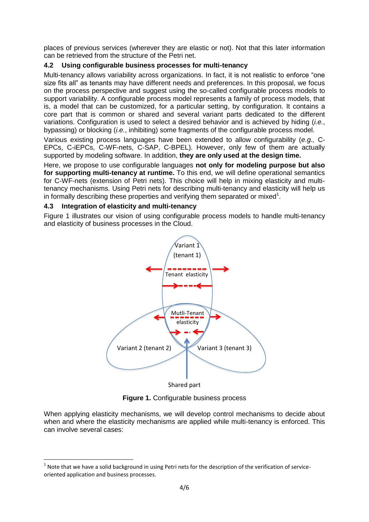places of previous services (wherever they are elastic or not). Not that this later information can be retrieved from the structure of the Petri net.

## **4.2 Using configurable business processes for multi-tenancy**

Multi-tenancy allows variability across organizations. In fact, it is not realistic to enforce "one size fits all" as tenants may have different needs and preferences. In this proposal, we focus on the process perspective and suggest using the so-called configurable process models to support variability. A configurable process model represents a family of process models, that is, a model that can be customized, for a particular setting, by configuration. It contains a core part that is common or shared and several variant parts dedicated to the different variations. Configuration is used to select a desired behavior and is achieved by hiding (*i.e.*, bypassing) or blocking (*i.e.*, inhibiting) some fragments of the configurable process model.

Various existing process languages have been extended to allow configurability (*e.g.,* C-EPCs, C-iEPCs, C-WF-nets, C-SAP, C-BPEL). However, only few of them are actually supported by modeling software. In addition, **they are only used at the design time.** 

Here, we propose to use configurable languages **not only for modeling purpose but also for supporting multi-tenancy at runtime.** To this end, we will define operational semantics for C-WF-nets (extension of Petri nets). This choice will help in mixing elasticity and multitenancy mechanisms. Using Petri nets for describing multi-tenancy and elasticity will help us in formally describing these properties and verifying them separated or mixed<sup>1</sup>.

#### **4.3 Integration of elasticity and multi-tenancy**

1

Figure 1 illustrates our vision of using configurable process models to handle multi-tenancy and elasticity of business processes in the Cloud.



Shared part

**Figure 1.** Configurable business process

When applying elasticity mechanisms, we will develop control mechanisms to decide about when and where the elasticity mechanisms are applied while multi-tenancy is enforced. This can involve several cases:

 $<sup>1</sup>$  Note that we have a solid background in using Petri nets for the description of the verification of service-</sup> oriented application and business processes.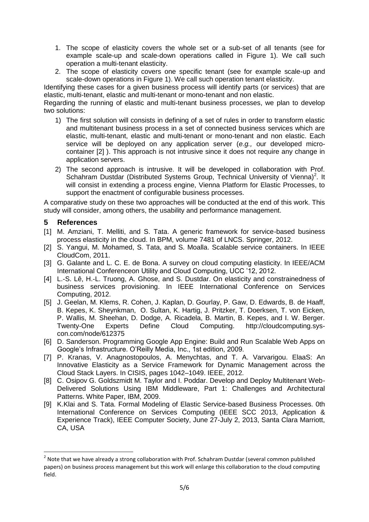- 1. The scope of elasticity covers the whole set or a sub-set of all tenants (see for example scale-up and scale-down operations called in Figure 1). We call such operation a multi-tenant elasticity.
- 2. The scope of elasticity covers one specific tenant (see for example scale-up and scale-down operations in Figure 1). We call such operation tenant elasticity.

Identifying these cases for a given business process will identify parts (or services) that are elastic, multi-tenant, elastic and multi-tenant or mono-tenant and non elastic.

Regarding the running of elastic and multi-tenant business processes, we plan to develop two solutions:

- 1) The first solution will consists in defining of a set of rules in order to transform elastic and multitenant business process in a set of connected business services which are elastic, multi-tenant, elastic and multi-tenant or mono-tenant and non elastic. Each service will be deployed on any application server (*e.g.,* our developed microcontainer [\[2\] \)](#page-4-3). This approach is not intrusive since it does not require any change in application servers.
- 2) The second approach is intrusive. It will be developed in collaboration with Prof. Schahram Dustdar (Distributed Systems Group, Technical University of Vienna)<sup>2</sup>. It will consist in extending a process engine, Vienna Platform for Elastic Processes, to support the enactment of configurable business processes.

A comparative study on these two approaches will be conducted at the end of this work. This study will consider, among others, the usability and performance management.

#### **5 References**

**.** 

- <span id="page-4-6"></span>[1] M. Amziani, T. Melliti, and S. Tata. A generic framework for service-based business process elasticity in the cloud. In BPM, volume 7481 of LNCS. Springer, 2012.
- <span id="page-4-3"></span>[2] S. Yangui, M. Mohamed, S. Tata, and S. Moalla. Scalable service containers. In IEEE CloudCom, 2011.
- <span id="page-4-5"></span>[3] G. Galante and L. C. E. de Bona. A survey on cloud computing elasticity. In IEEE/ACM International Conferenceon Utility and Cloud Computing, UCC '12, 2012.
- [4] L.-S. Lê, H.-L. Truong, A. Ghose, and S. Dustdar. On elasticity and constrainedness of business services provisioning. In IEEE International Conference on Services Computing, 2012.
- <span id="page-4-1"></span>[5] J. Geelan, M. Klems, R. Cohen, J. Kaplan, D. Gourlay, P. Gaw, D. Edwards, B. de Haaff, B. Kepes, K. Sheynkman, O. Sultan, K. Hartig, J. Pritzker, T. Doerksen, T. von Eicken, P. Wallis, M. Sheehan, D. Dodge, A. Ricadela, B. Martin, B. Kepes, and I. W. Berger. Twenty-One Experts Define Cloud Computing. http://cloudcomputing.syscon.com/node/612375
- <span id="page-4-2"></span>[6] D. Sanderson. Programming Google App Engine: Build and Run Scalable Web Apps on Google's Infrastructure. O'Reilly Media, Inc., 1st edition, 2009.
- <span id="page-4-4"></span>[7] P. Kranas, V. Anagnostopoulos, A. Menychtas, and T. A. Varvarigou. ElaaS: An Innovative Elasticity as a Service Framework for Dynamic Management across the Cloud Stack Layers. In CISIS, pages 1042–1049. IEEE, 2012.
- <span id="page-4-0"></span>[8] C. Osipov G. Goldszmidt M. Taylor and I. Poddar. Develop and Deploy Multitenant Web-Delivered Solutions Using IBM Middleware, Part 1: Challenges and Architectural Patterns. White Paper, IBM, 2009.
- <span id="page-4-7"></span>[9] K.Klai and S. Tata. Formal Modeling of Elastic Service-based Business Processes. 0th International Conference on Services Computing (IEEE SCC 2013, Application & Experience Track), IEEE Computer Society, June 27-July 2, 2013, Santa Clara Marriott, CA, USA

 $2$  Note that we have already a strong collaboration with Prof. Schahram Dustdar (several common published papers) on business process management but this work will enlarge this collaboration to the cloud computing field.